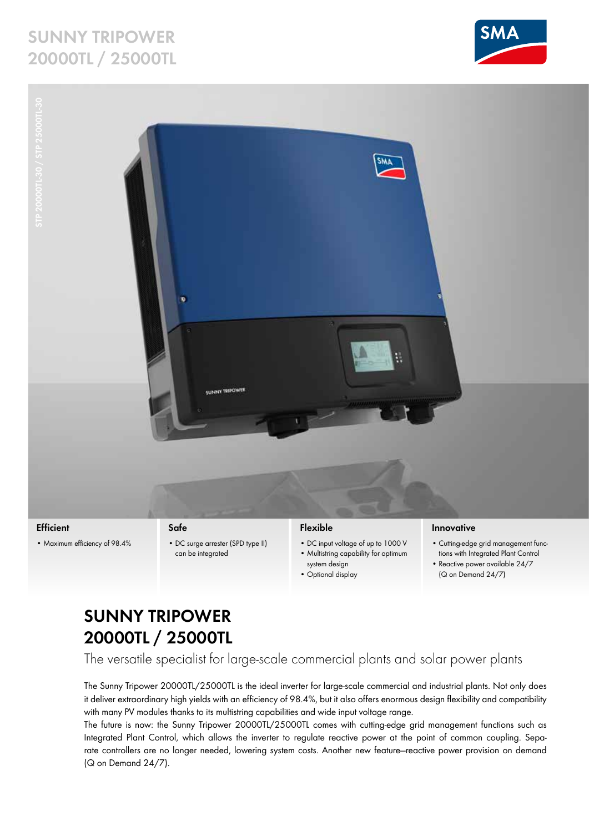# **Sunny Tripower 20000TL / 25000TL**





**Efficient**

• Maximum efficiency of 98.4%

## **Safe**

• DC surge arrester (SPD type II) can be integrated

## **Flexible**

- • DC input voltage of up to 1000 V • Multistring capability for optimum
- system design • Optional display

### **Innovative**

- • Cutting-edge grid management functions with Integrated Plant Control
- Reactive power available 24/7
- 
- (Q on Demand 24/7)

# **Sunny Tripower 20000TL / 25000TL**

The versatile specialist for large-scale commercial plants and solar power plants

The Sunny Tripower 20000TL/25000TL is the ideal inverter for large-scale commercial and industrial plants. Not only does it deliver extraordinary high yields with an efficiency of 98.4%, but it also offers enormous design flexibility and compatibility with many PV modules thanks to its multistring capabilities and wide input voltage range.

The future is now: the Sunny Tripower 20000TL/25000TL comes with cutting-edge grid management functions such as Integrated Plant Control, which allows the inverter to regulate reactive power at the point of common coupling. Separate controllers are no longer needed, lowering system costs. Another new feature—reactive power provision on demand (Q on Demand 24/7).